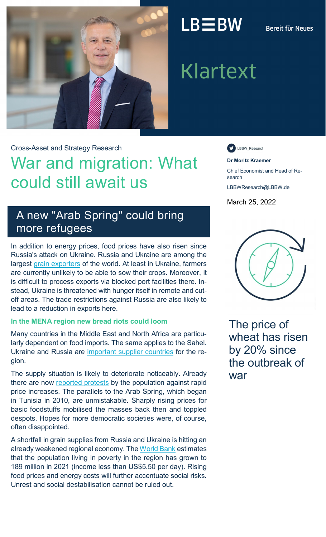

## $LB \equiv BW$

## **Bereit für Neues**

# **Klartext**

Cross-Asset and Strategy Research

## War and migration: What could still await us

LBBW\_Research

**Dr Moritz Kraemer** 

Chief Economist and Head of Research

LBBWResearch@LBBW.de

March 25, 2022

## A new "Arab Spring" could bring more refugees

In addition to energy prices, food prices have also risen since Russia's attack on Ukraine. Russia and Ukraine are among the largest [grain exporters](http://www.igc.int/en/gmr_summary.aspx) of the world. At least in Ukraine, farmers are currently unlikely to be able to sow their crops. Moreover, it is difficult to process exports via blocked port facilities there. Instead, Ukraine is threatened with hunger itself in remote and cutoff areas. The trade restrictions against Russia are also likely to lead to a reduction in exports here.

## **In the MENA region new bread riots could loom**

Many countries in the Middle East and North Africa are particularly dependent on food imports. The same applies to the Sahel. Ukraine and Russia are [important supplier countries](https://impakter.com/global-food-security-risk-says-fao/) for the region.

The supply situation is likely to deteriorate noticeably. Already there are now [reported protests](https://theconversation.com/iraq-food-protests-against-spiralling-prices-echo-early-stages-of-the-arab-spring-179145) by the population against rapid price increases. The parallels to the Arab Spring, which began in Tunisia in 2010, are unmistakable. Sharply rising prices for basic foodstuffs mobilised the masses back then and toppled despots. Hopes for more democratic societies were, of course, often disappointed.

A shortfall in grain supplies from Russia and Ukraine is hitting an already weakened regional economy. The [World Bank](https://openknowledge.worldbank.org/bitstream/handle/10986/36318/9781464817984.pdf) estimates that the population living in poverty in the region has grown to 189 million in 2021 (income less than US\$5.50 per day). Rising food prices and energy costs will further accentuate social risks. Unrest and social destabilisation cannot be ruled out.



The price of wheat has risen by 20% since the outbreak of war